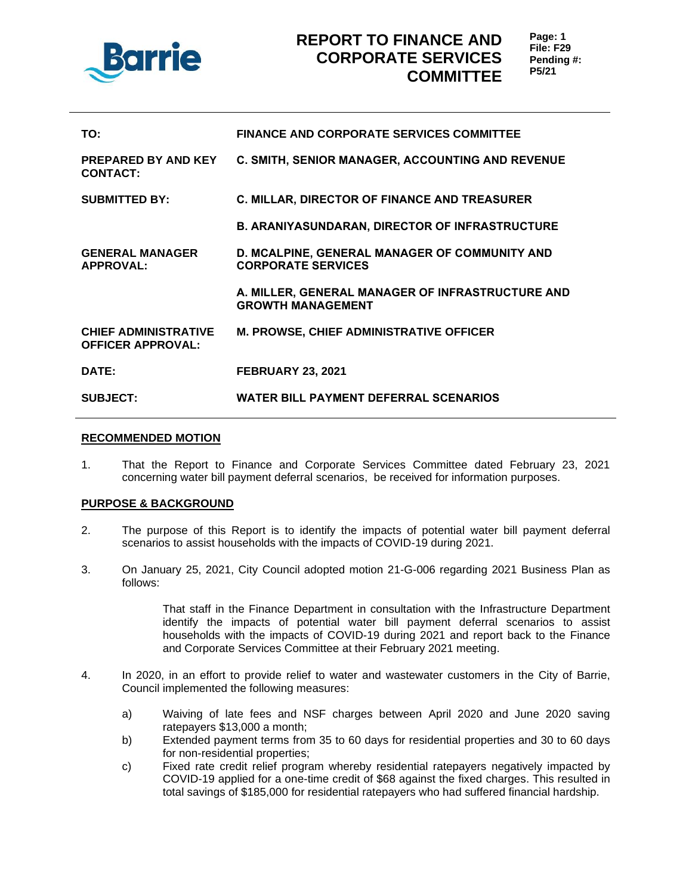

| TO:                                                     | <b>FINANCE AND CORPORATE SERVICES COMMITTEE</b>                              |
|---------------------------------------------------------|------------------------------------------------------------------------------|
| <b>PREPARED BY AND KEY</b><br><b>CONTACT:</b>           | <b>C. SMITH, SENIOR MANAGER, ACCOUNTING AND REVENUE</b>                      |
| <b>SUBMITTED BY:</b>                                    | <b>C. MILLAR, DIRECTOR OF FINANCE AND TREASURER</b>                          |
|                                                         | <b>B. ARANIYASUNDARAN, DIRECTOR OF INFRASTRUCTURE</b>                        |
| <b>GENERAL MANAGER</b><br><b>APPROVAL:</b>              | D. MCALPINE, GENERAL MANAGER OF COMMUNITY AND<br><b>CORPORATE SERVICES</b>   |
|                                                         | A. MILLER, GENERAL MANAGER OF INFRASTRUCTURE AND<br><b>GROWTH MANAGEMENT</b> |
| <b>CHIEF ADMINISTRATIVE</b><br><b>OFFICER APPROVAL:</b> | <b>M. PROWSE, CHIEF ADMINISTRATIVE OFFICER</b>                               |
| DATE:                                                   | <b>FEBRUARY 23, 2021</b>                                                     |
| <b>SUBJECT:</b>                                         | <b>WATER BILL PAYMENT DEFERRAL SCENARIOS</b>                                 |

#### **RECOMMENDED MOTION**

1. That the Report to Finance and Corporate Services Committee dated February 23, 2021 concerning water bill payment deferral scenarios, be received for information purposes.

#### **PURPOSE & BACKGROUND**

- 2. The purpose of this Report is to identify the impacts of potential water bill payment deferral scenarios to assist households with the impacts of COVID-19 during 2021.
- 3. On January 25, 2021, City Council adopted motion 21-G-006 regarding 2021 Business Plan as follows:

That staff in the Finance Department in consultation with the Infrastructure Department identify the impacts of potential water bill payment deferral scenarios to assist households with the impacts of COVID-19 during 2021 and report back to the Finance and Corporate Services Committee at their February 2021 meeting.

- 4. In 2020, in an effort to provide relief to water and wastewater customers in the City of Barrie, Council implemented the following measures:
	- a) Waiving of late fees and NSF charges between April 2020 and June 2020 saving ratepayers \$13,000 a month;
	- b) Extended payment terms from 35 to 60 days for residential properties and 30 to 60 days for non-residential properties;
	- c) Fixed rate credit relief program whereby residential ratepayers negatively impacted by COVID-19 applied for a one-time credit of \$68 against the fixed charges. This resulted in total savings of \$185,000 for residential ratepayers who had suffered financial hardship.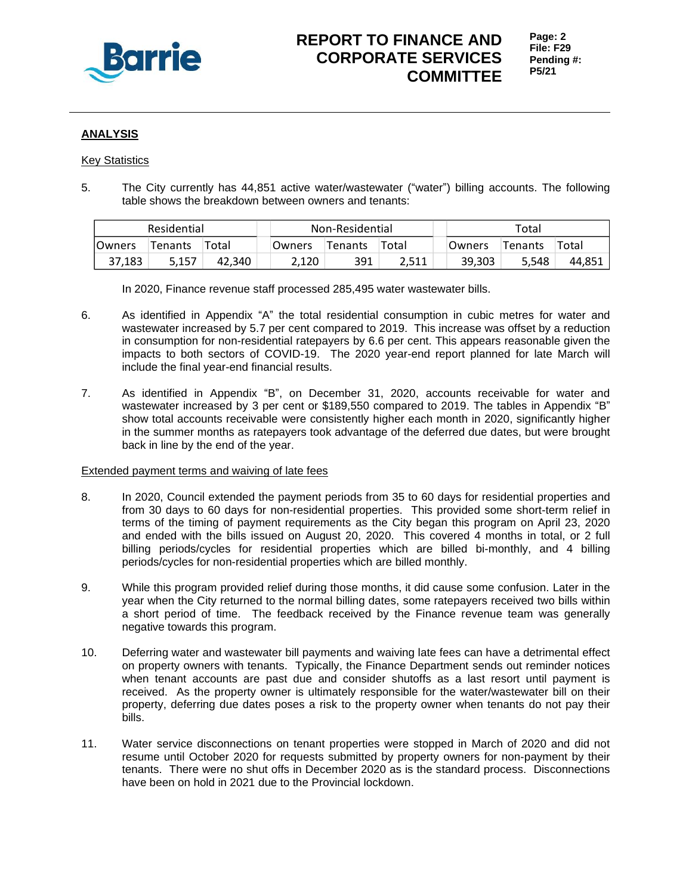

## **ANALYSIS**

## **Key Statistics**

5. The City currently has 44,851 active water/wastewater ("water") billing accounts. The following table shows the breakdown between owners and tenants:

|        | Residential |        |  |        | Non-Residential |       | Total  |         |        |  |  |  |  |
|--------|-------------|--------|--|--------|-----------------|-------|--------|---------|--------|--|--|--|--|
| Owners | Fenants     | Total  |  | Owners | Tenants         | Total | Owners | Tenants | Total  |  |  |  |  |
| 37,183 | 5.157       | 42.340 |  | 2.120  | 391             | 2.511 | 39.303 | 5,548   | 44,851 |  |  |  |  |

In 2020, Finance revenue staff processed 285,495 water wastewater bills.

- 6. As identified in Appendix "A" the total residential consumption in cubic metres for water and wastewater increased by 5.7 per cent compared to 2019. This increase was offset by a reduction in consumption for non-residential ratepayers by 6.6 per cent. This appears reasonable given the impacts to both sectors of COVID-19. The 2020 year-end report planned for late March will include the final year-end financial results.
- 7. As identified in Appendix "B", on December 31, 2020, accounts receivable for water and wastewater increased by 3 per cent or \$189,550 compared to 2019. The tables in Appendix "B" show total accounts receivable were consistently higher each month in 2020, significantly higher in the summer months as ratepayers took advantage of the deferred due dates, but were brought back in line by the end of the year.

## Extended payment terms and waiving of late fees

- 8. In 2020, Council extended the payment periods from 35 to 60 days for residential properties and from 30 days to 60 days for non-residential properties. This provided some short-term relief in terms of the timing of payment requirements as the City began this program on April 23, 2020 and ended with the bills issued on August 20, 2020. This covered 4 months in total, or 2 full billing periods/cycles for residential properties which are billed bi-monthly, and 4 billing periods/cycles for non-residential properties which are billed monthly.
- 9. While this program provided relief during those months, it did cause some confusion. Later in the year when the City returned to the normal billing dates, some ratepayers received two bills within a short period of time. The feedback received by the Finance revenue team was generally negative towards this program.
- 10. Deferring water and wastewater bill payments and waiving late fees can have a detrimental effect on property owners with tenants. Typically, the Finance Department sends out reminder notices when tenant accounts are past due and consider shutoffs as a last resort until payment is received. As the property owner is ultimately responsible for the water/wastewater bill on their property, deferring due dates poses a risk to the property owner when tenants do not pay their bills.
- 11. Water service disconnections on tenant properties were stopped in March of 2020 and did not resume until October 2020 for requests submitted by property owners for non-payment by their tenants. There were no shut offs in December 2020 as is the standard process. Disconnections have been on hold in 2021 due to the Provincial lockdown.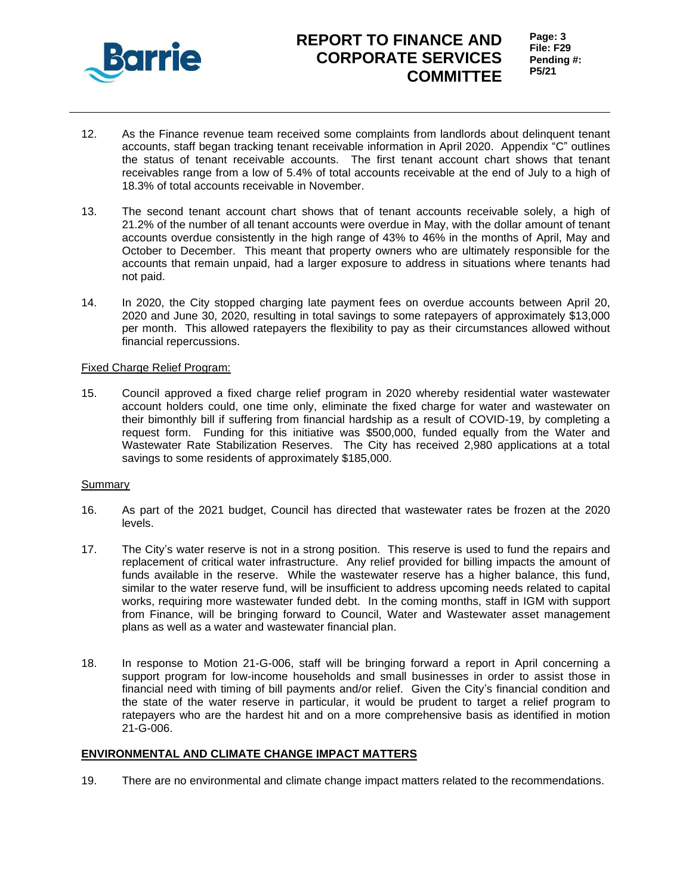

**Page: 3 File: F29 Pending #: P5/21**

- 12. As the Finance revenue team received some complaints from landlords about delinquent tenant accounts, staff began tracking tenant receivable information in April 2020. Appendix "C" outlines the status of tenant receivable accounts. The first tenant account chart shows that tenant receivables range from a low of 5.4% of total accounts receivable at the end of July to a high of 18.3% of total accounts receivable in November.
- 13. The second tenant account chart shows that of tenant accounts receivable solely, a high of 21.2% of the number of all tenant accounts were overdue in May, with the dollar amount of tenant accounts overdue consistently in the high range of 43% to 46% in the months of April, May and October to December. This meant that property owners who are ultimately responsible for the accounts that remain unpaid, had a larger exposure to address in situations where tenants had not paid.
- 14. In 2020, the City stopped charging late payment fees on overdue accounts between April 20, 2020 and June 30, 2020, resulting in total savings to some ratepayers of approximately \$13,000 per month. This allowed ratepayers the flexibility to pay as their circumstances allowed without financial repercussions.

### Fixed Charge Relief Program:

15. Council approved a fixed charge relief program in 2020 whereby residential water wastewater account holders could, one time only, eliminate the fixed charge for water and wastewater on their bimonthly bill if suffering from financial hardship as a result of COVID-19, by completing a request form. Funding for this initiative was \$500,000, funded equally from the Water and Wastewater Rate Stabilization Reserves. The City has received 2,980 applications at a total savings to some residents of approximately \$185,000.

### **Summary**

- 16. As part of the 2021 budget, Council has directed that wastewater rates be frozen at the 2020 levels.
- 17. The City's water reserve is not in a strong position. This reserve is used to fund the repairs and replacement of critical water infrastructure. Any relief provided for billing impacts the amount of funds available in the reserve. While the wastewater reserve has a higher balance, this fund, similar to the water reserve fund, will be insufficient to address upcoming needs related to capital works, requiring more wastewater funded debt. In the coming months, staff in IGM with support from Finance, will be bringing forward to Council, Water and Wastewater asset management plans as well as a water and wastewater financial plan.
- 18. In response to Motion 21-G-006, staff will be bringing forward a report in April concerning a support program for low-income households and small businesses in order to assist those in financial need with timing of bill payments and/or relief. Given the City's financial condition and the state of the water reserve in particular, it would be prudent to target a relief program to ratepayers who are the hardest hit and on a more comprehensive basis as identified in motion 21-G-006.

## **ENVIRONMENTAL AND CLIMATE CHANGE IMPACT MATTERS**

19. There are no environmental and climate change impact matters related to the recommendations.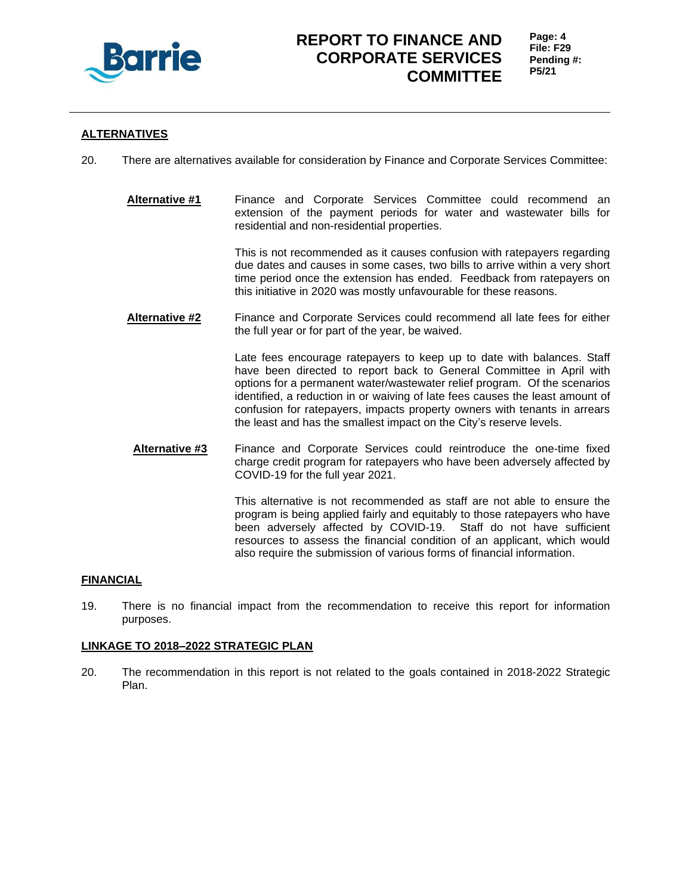

## **ALTERNATIVES**

- 20. There are alternatives available for consideration by Finance and Corporate Services Committee:
	- **Alternative #1** Finance and Corporate Services Committee could recommend an extension of the payment periods for water and wastewater bills for residential and non-residential properties.

This is not recommended as it causes confusion with ratepayers regarding due dates and causes in some cases, two bills to arrive within a very short time period once the extension has ended. Feedback from ratepayers on this initiative in 2020 was mostly unfavourable for these reasons.

**Alternative #2** Finance and Corporate Services could recommend all late fees for either the full year or for part of the year, be waived.

> Late fees encourage ratepayers to keep up to date with balances. Staff have been directed to report back to General Committee in April with options for a permanent water/wastewater relief program. Of the scenarios identified, a reduction in or waiving of late fees causes the least amount of confusion for ratepayers, impacts property owners with tenants in arrears the least and has the smallest impact on the City's reserve levels.

**Alternative #3** Finance and Corporate Services could reintroduce the one-time fixed charge credit program for ratepayers who have been adversely affected by COVID-19 for the full year 2021.

> This alternative is not recommended as staff are not able to ensure the program is being applied fairly and equitably to those ratepayers who have been adversely affected by COVID-19. Staff do not have sufficient resources to assess the financial condition of an applicant, which would also require the submission of various forms of financial information.

#### **FINANCIAL**

19. There is no financial impact from the recommendation to receive this report for information purposes.

#### **LINKAGE TO 2018–2022 STRATEGIC PLAN**

20. The recommendation in this report is not related to the goals contained in 2018-2022 Strategic Plan.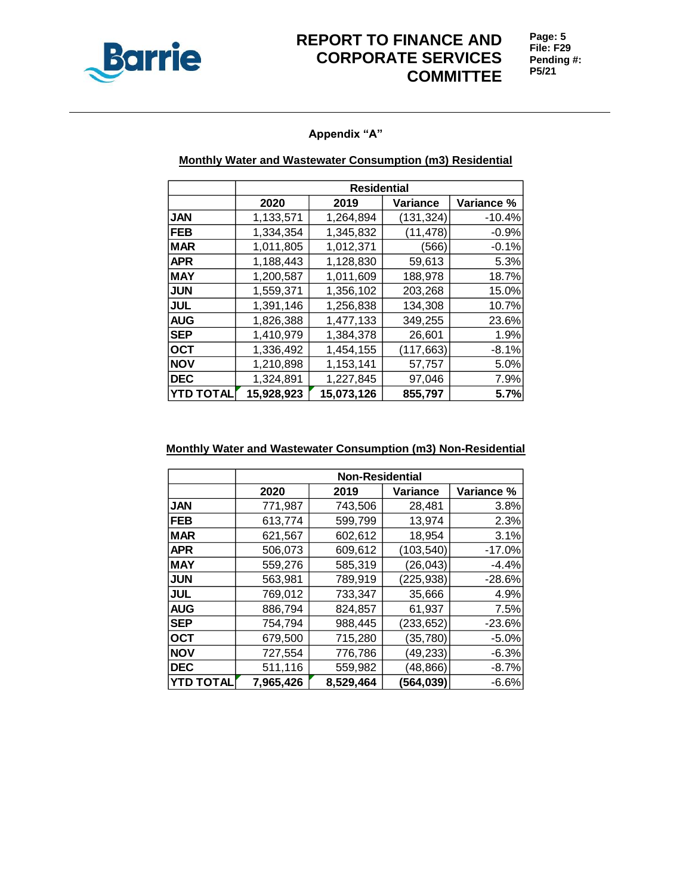

**Page: 5 File: F29 Pending #: P5/21**

## **Appendix "A"**

### **Monthly Water and Wastewater Consumption (m3) Residential**

|                  |            | <b>Residential</b> |            |            |
|------------------|------------|--------------------|------------|------------|
|                  | 2020       | 2019               | Variance   | Variance % |
| <b>JAN</b>       | 1,133,571  | 1,264,894          | (131, 324) | $-10.4%$   |
| <b>FEB</b>       | 1,334,354  | 1,345,832          | (11, 478)  | $-0.9%$    |
| <b>MAR</b>       | 1,011,805  | 1,012,371          | (566)      | $-0.1%$    |
| <b>APR</b>       | 1,188,443  | 1,128,830          | 59,613     | 5.3%       |
| <b>MAY</b>       | 1,200,587  | 1,011,609          | 188,978    | 18.7%      |
| <b>JUN</b>       | 1,559,371  | 1,356,102          | 203,268    | 15.0%      |
| <b>JUL</b>       | 1,391,146  | 1,256,838          | 134,308    | 10.7%      |
| <b>AUG</b>       | 1,826,388  | 1,477,133          | 349,255    | 23.6%      |
| <b>SEP</b>       | 1,410,979  | 1,384,378          | 26,601     | 1.9%       |
| <b>OCT</b>       | 1,336,492  | 1,454,155          | (117,663)  | $-8.1%$    |
| <b>NOV</b>       | 1,210,898  | 1,153,141          | 57,757     | 5.0%       |
| <b>DEC</b>       | 1,324,891  | 1,227,845          | 97,046     | 7.9%       |
| <b>YTD TOTAL</b> | 15,928,923 | 15,073,126         | 855,797    | 5.7%       |

## **Monthly Water and Wastewater Consumption (m3) Non-Residential**

|            |           | <b>Non-Residential</b> |            |            |  |  |  |
|------------|-----------|------------------------|------------|------------|--|--|--|
|            | 2020      | 2019                   | Variance   | Variance % |  |  |  |
| <b>JAN</b> | 771,987   | 743,506                | 28,481     | 3.8%       |  |  |  |
| <b>FEB</b> | 613,774   | 599,799                | 13,974     | 2.3%       |  |  |  |
| <b>MAR</b> | 621,567   | 602,612                | 18,954     | 3.1%       |  |  |  |
| <b>APR</b> | 506,073   | 609,612                | (103, 540) | $-17.0%$   |  |  |  |
| <b>MAY</b> | 559,276   | 585,319                | (26, 043)  | $-4.4%$    |  |  |  |
| <b>JUN</b> | 563,981   | 789,919                | (225, 938) | $-28.6%$   |  |  |  |
| <b>JUL</b> | 769,012   | 733,347                | 35,666     | 4.9%       |  |  |  |
| <b>AUG</b> | 886,794   | 824,857                | 61,937     | 7.5%       |  |  |  |
| <b>SEP</b> | 754,794   | 988,445                | (233, 652) | $-23.6%$   |  |  |  |
| <b>OCT</b> | 679,500   | 715,280                | (35, 780)  | $-5.0%$    |  |  |  |
| <b>NOV</b> | 727,554   | 776,786                | (49, 233)  | $-6.3%$    |  |  |  |
| <b>DEC</b> | 511,116   | 559,982                | (48, 866)  | $-8.7%$    |  |  |  |
| YTD TOTAL  | 7,965,426 | 8,529,464              | (564, 039) | $-6.6%$    |  |  |  |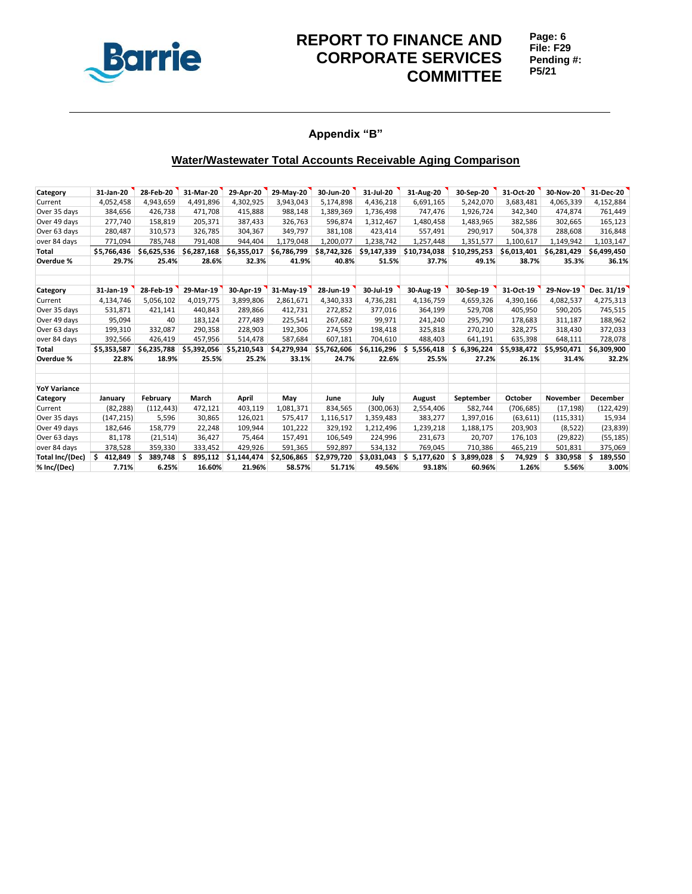

**Page: 6 File: F29 Pending #: P5/21**

### **Appendix "B"**

### **Water/Wastewater Total Accounts Receivable Aging Comparison**

| Category            | 31-Jan-20   | 28-Feb-20   | 31-Mar-20   | 29-Apr-20   | 29-May-20   | 30-Jun-20   | 31-Jul-20   | 31-Aug-20       | 30-Sep-20       | 31-Oct-20   | 30-Nov-20   | 31-Dec-20   |
|---------------------|-------------|-------------|-------------|-------------|-------------|-------------|-------------|-----------------|-----------------|-------------|-------------|-------------|
| Current             | 4,052,458   | 4,943,659   | 4,491,896   | 4,302,925   | 3,943,043   | 5,174,898   | 4,436,218   | 6,691,165       | 5,242,070       | 3,683,481   | 4,065,339   | 4,152,884   |
| Over 35 days        | 384,656     | 426,738     | 471,708     | 415,888     | 988,148     | 1,389,369   | 1,736,498   | 747,476         | 1,926,724       | 342,340     | 474,874     | 761,449     |
| Over 49 days        | 277,740     | 158,819     | 205,371     | 387,433     | 326,763     | 596,874     | 1,312,467   | 1,480,458       | 1,483,965       | 382,586     | 302,665     | 165,123     |
| Over 63 days        | 280,487     | 310,573     | 326,785     | 304,367     | 349,797     | 381,108     | 423,414     | 557,491         | 290,917         | 504,378     | 288,608     | 316,848     |
| over 84 days        | 771,094     | 785,748     | 791,408     | 944,404     | 1,179,048   | 1,200,077   | 1,238,742   | 1,257,448       | 1,351,577       | 1,100,617   | 1,149,942   | 1,103,147   |
| Total               | \$5,766,436 | \$6,625,536 | \$6,287,168 | \$6,355,017 | \$6,786,799 | \$8,742,326 | \$9,147,339 | \$10,734,038    | \$10,295,253    | \$6,013,401 | \$6,281,429 | \$6,499,450 |
| Overdue %           | 29.7%       | 25.4%       | 28.6%       | 32.3%       | 41.9%       | 40.8%       | 51.5%       | 37.7%           | 49.1%           | 38.7%       | 35.3%       | 36.1%       |
|                     |             |             |             |             |             |             |             |                 |                 |             |             |             |
| Category            | 31-Jan-19   | 28-Feb-19   | 29-Mar-19   | 30-Apr-19   | 31-May-19   | 28-Jun-19   | 30-Jul-19   | 30-Aug-19       | 30-Sep-19       | 31-Oct-19   | 29-Nov-19   | Dec. 31/19  |
| Current             | 4,134,746   | 5,056,102   | 4,019,775   | 3,899,806   | 2,861,671   | 4,340,333   | 4,736,281   | 4,136,759       | 4,659,326       | 4,390,166   | 4,082,537   | 4,275,313   |
| Over 35 days        | 531,871     | 421,141     | 440,843     | 289,866     | 412,731     | 272,852     | 377,016     | 364,199         | 529,708         | 405,950     | 590,205     | 745,515     |
| Over 49 days        | 95,094      | 40          | 183,124     | 277,489     | 225,541     | 267,682     | 99.971      | 241,240         | 295,790         | 178,683     | 311,187     | 188,962     |
| Over 63 days        | 199,310     | 332.087     | 290,358     | 228,903     | 192,306     | 274,559     | 198,418     | 325,818         | 270,210         | 328,275     | 318,430     | 372,033     |
| over 84 days        | 392,566     | 426,419     | 457,956     | 514,478     | 587,684     | 607,181     | 704,610     | 488,403         | 641,191         | 635,398     | 648,111     | 728,078     |
| Total               | \$5,353,587 | \$6,235,788 | \$5,392,056 | \$5,210,543 | \$4,279,934 | \$5,762,606 | \$6,116,296 | \$<br>5,556,418 | \$<br>6,396,224 | \$5,938,472 | \$5,950,471 | \$6,309,900 |
| Overdue %           | 22.8%       | 18.9%       | 25.5%       | 25.2%       | 33.1%       | 24.7%       | 22.6%       | 25.5%           | 27.2%           | 26.1%       | 31.4%       | 32.2%       |
| <b>YoY Variance</b> |             |             |             |             |             |             |             |                 |                 |             |             |             |
| Category            | January     | February    | March       | April       | May         | June        | July        | August          | September       | October     | November    | December    |
| Current             | (82, 288)   | (112, 443)  | 472,121     | 403,119     | 1,081,371   | 834,565     | (300.063)   | 2,554,406       | 582,744         | (706, 685)  | (17, 198)   | (122, 429)  |
| Over 35 days        | (147, 215)  | 5,596       | 30,865      | 126,021     | 575,417     | 1,116,517   | 1,359,483   | 383,277         | 1,397,016       | (63, 611)   | (115, 331)  | 15,934      |
| Over 49 days        | 182,646     | 158,779     | 22,248      | 109,944     | 101,222     | 329,192     | 1,212,496   | 1,239,218       | 1,188,175       | 203,903     | (8,522)     | (23, 839)   |
| Over 63 days        | 81,178      | (21, 514)   | 36,427      | 75,464      | 157,491     | 106,549     | 224,996     | 231,673         | 20,707          | 176,103     | (29, 822)   | (55, 185)   |
| over 84 days        | 378,528     | 359,330     | 333,452     | 429,926     | 591,365     | 592,897     | 534,132     | 769,045         | 710,386         | 465,219     | 501,831     | 375,069     |
| Total Inc/(Dec)     | 412,849     | 389,748     | 895,112     | \$1,144,474 | \$2,506,865 | \$2,979,720 | \$3,031,043 | \$<br>5,177,620 | \$<br>3,899,028 | 74,929      | 330,958     | 189,550     |
| % Inc/(Dec)         | 7.71%       | 6.25%       | 16.60%      | 21.96%      | 58.57%      | 51.71%      | 49.56%      | 93.18%          | 60.96%          | 1.26%       | 5.56%       | 3.00%       |